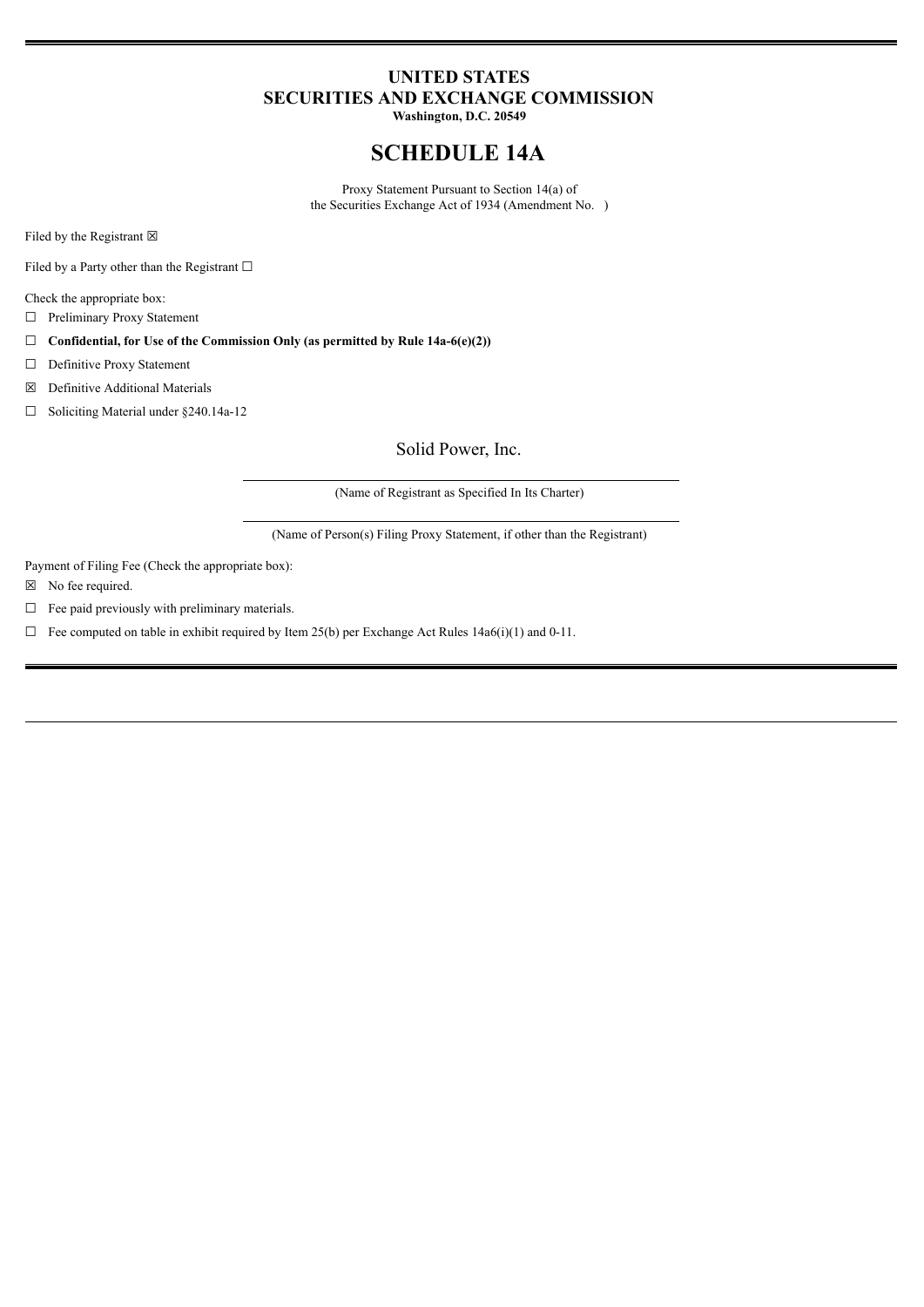## **UNITED STATES SECURITIES AND EXCHANGE COMMISSION**

**Washington, D.C. 20549**

# **SCHEDULE 14A**

Proxy Statement Pursuant to Section 14(a) of the Securities Exchange Act of 1934 (Amendment No. )

Filed by the Registrant  $\boxtimes$ 

Filed by a Party other than the Registrant  $□$ 

Check the appropriate box:

- ☐ Preliminary Proxy Statement
- ☐ **Confidential, for Use of the Commission Only (as permitted by Rule 14a-6(e)(2))**
- ☐ Definitive Proxy Statement
- ☒ Definitive Additional Materials
- ☐ Soliciting Material under §240.14a-12

#### Solid Power, Inc.

(Name of Registrant as Specified In Its Charter)

(Name of Person(s) Filing Proxy Statement, if other than the Registrant)

Payment of Filing Fee (Check the appropriate box):

☒ No fee required.

 $\Box$  Fee paid previously with preliminary materials.

 $\Box$  Fee computed on table in exhibit required by Item 25(b) per Exchange Act Rules 14a6(i)(1) and 0-11.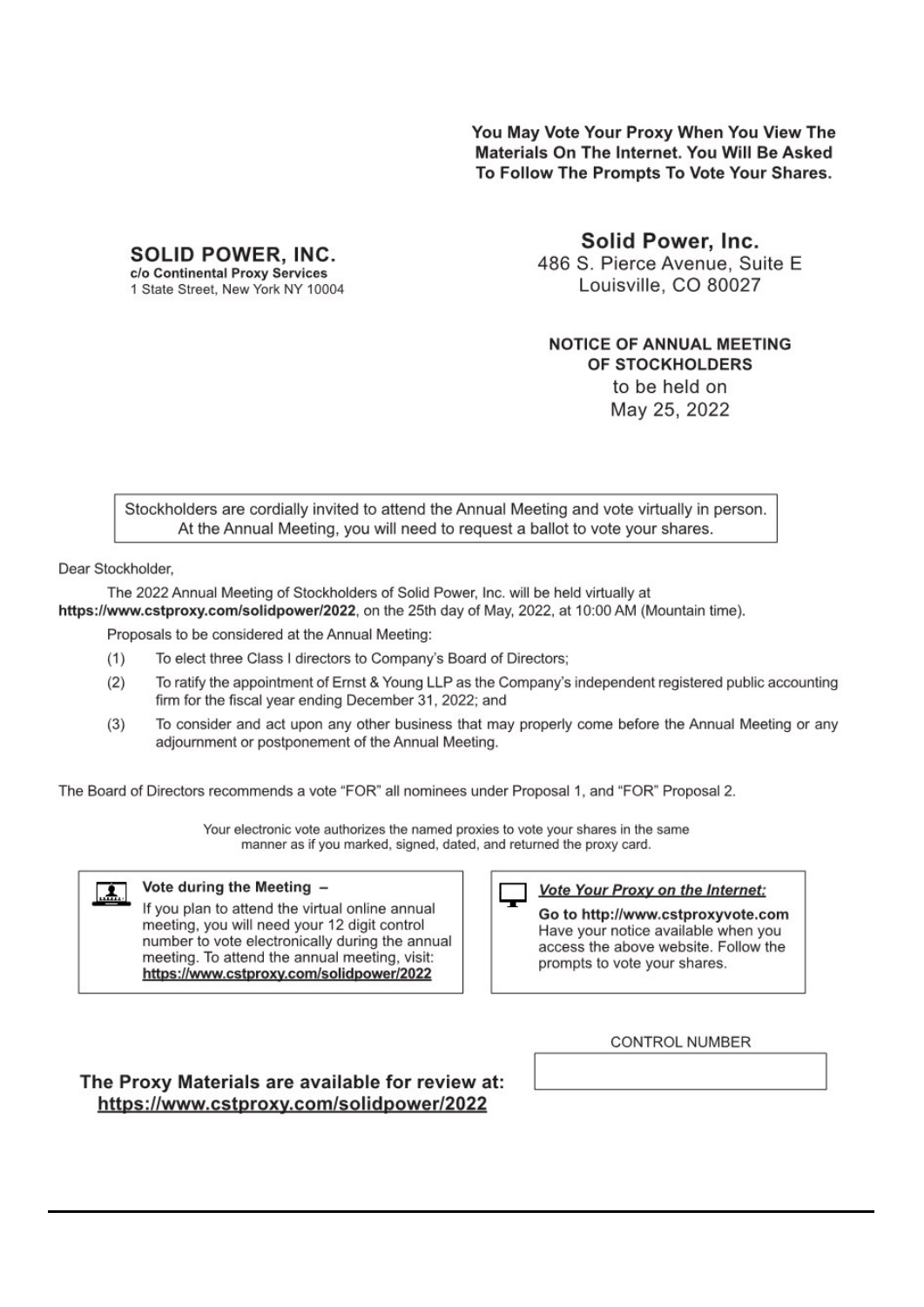You May Vote Your Proxy When You View The Materials On The Internet. You Will Be Asked To Follow The Prompts To Vote Your Shares.

**SOLID POWER, INC.** c/o Continental Proxy Services

1 State Street, New York NY 10004

Solid Power, Inc. 486 S. Pierce Avenue, Suite E Louisville, CO 80027

**NOTICE OF ANNUAL MEETING** OF STOCKHOLDERS to be held on May 25, 2022

Stockholders are cordially invited to attend the Annual Meeting and vote virtually in person. At the Annual Meeting, you will need to request a ballot to vote your shares.

Dear Stockholder.

The 2022 Annual Meeting of Stockholders of Solid Power, Inc. will be held virtually at https://www.cstproxy.com/solidpower/2022, on the 25th day of May, 2022, at 10:00 AM (Mountain time).

Proposals to be considered at the Annual Meeting:

- $(1)$ To elect three Class I directors to Company's Board of Directors:
- To ratify the appointment of Ernst & Young LLP as the Company's independent registered public accounting  $(2)$ firm for the fiscal year ending December 31, 2022; and
- To consider and act upon any other business that may properly come before the Annual Meeting or any  $(3)$ adjournment or postponement of the Annual Meeting.

The Board of Directors recommends a vote "FOR" all nominees under Proposal 1, and "FOR" Proposal 2.

Your electronic vote authorizes the named proxies to vote your shares in the same manner as if you marked, signed, dated, and returned the proxy card.



Vote during the Meeting -

If you plan to attend the virtual online annual meeting, you will need your 12 digit control number to vote electronically during the annual meeting. To attend the annual meeting, visit: https://www.cstproxy.com/solidpower/2022



#### Vote Your Proxy on the Internet:

Go to http://www.cstproxyvote.com Have your notice available when you access the above website. Follow the prompts to vote your shares.

**CONTROL NUMBER** 

The Proxy Materials are available for review at: https://www.cstproxy.com/solidpower/2022